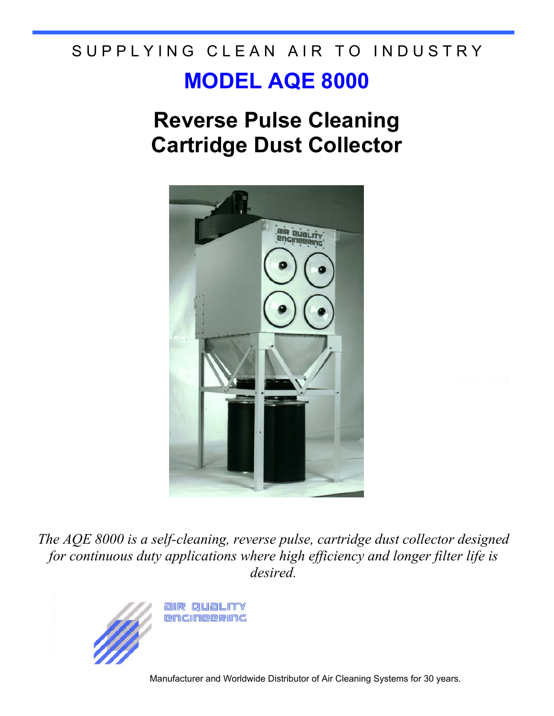# SUPPLYING CLEAN AIR TO INDUSTRY

## **MODEL AQE 8000**

## **Reverse Pulse Cleaning Cartridge Dust Collector**



*The AQE 8000 is a self-cleaning, reverse pulse, cartridge dust collector designed for continuous duty applications where high efficiency and longer filter life is desired.*



Manufacturer and Worldwide Distributor of Air Cleaning Systems for 30 years.